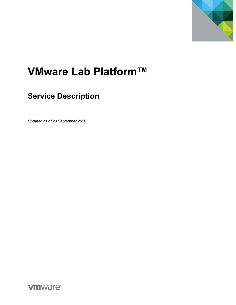

# **VMware Lab Platform™**

## **Service Description**

*Updated as of 23 September 2020*

**vmware®**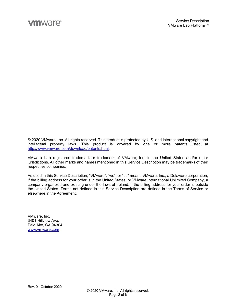© 2020 VMware, Inc. All rights reserved. This product is protected by U.S. and international copyright and intellectual property laws. This product is covered by one or more patents listed at http://www.vmware.com/download/patents.html.

VMware is a registered trademark or trademark of VMware, Inc. in the United States and/or other jurisdictions. All other marks and names mentioned in this Service Description may be trademarks of their respective companies.

As used in this Service Description, "VMware", "we", or "us" means VMware, Inc., a Delaware corporation, if the billing address for your order is in the United States, or VMware International Unlimited Company, a company organized and existing under the laws of Ireland, if the billing address for your order is outside the United States. Terms not defined in this Service Description are defined in the Terms of Service or elsewhere in the Agreement.

VMware, Inc. 3401 Hillview Ave. Palo Alto, CA 94304 www.vmware.com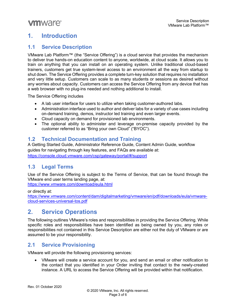#### **1. Introduction**

#### **1.1 Service Description**

VMware Lab Platform™ (the "Service Offering") is a cloud service that provides the mechanism to deliver true hands-on education content to anyone, worldwide, at cloud scale. It allows you to train on anything that you can install on an operating system. Unlike traditional cloud-based trainers, customers get true system-level access to an environment all the way from startup to shut down. The Service Offering provides a complete turn-key solution that requires no installation and very little setup. Customers can scale to as many students or sessions as desired without any worries about capacity. Customers can access the Service Offering from any device that has a web browser with no plug-ins needed and nothing additional to install.

The Service Offering includes

- A lab user interface for users to utilize when taking customer-authored labs.
- Administration interface used to author and deliver labs for a variety of use cases including on-demand training, demos, instructor led training and even larger events.
- Cloud capacity on demand for provisioned lab environments.
- The optional ability to administer and leverage on-premise capacity provided by the customer referred to as "Bring your own Cloud" ("BYOC").

#### **1.2 Technical Documentation and Training**

A Getting Started Guide, Administrator Reference Guide, Content Admin Guide, workflow guides for navigating through key features, and FAQs are available at: https://console.cloud.vmware.com/csp/gateway/portal/#/support

#### **1.3 Legal Terms**

Use of the Service Offering is subject to the Terms of Service, that can be found through the VMware end user terms landing page, at:

https://www.vmware.com/download/eula.html

or directly at:

https://www.vmware.com/content/dam/digitalmarketing/vmware/en/pdf/downloads/eula/vmwarecloud-services-universal-tos.pdf

### **2. Service Operations**

The following outlines VMware's roles and responsibilities in providing the Service Offering. While specific roles and responsibilities have been identified as being owned by you, any roles or responsibilities not contained in this Service Description are either not the duty of VMware or are assumed to be your responsibility.

#### **2.1 Service Provisioning**

VMware will provide the following provisioning services:

• VMware will create a service account for you, and send an email or other notification to the contact that you identified in your Order inviting that contact to the newly-created instance. A URL to access the Service Offering will be provided within that notification.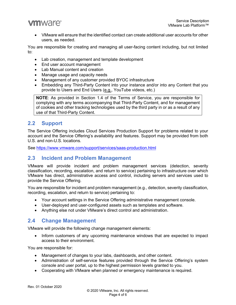• VMware will ensure that the identified contact can create additional user accounts for other users, as needed.

You are responsible for creating and managing all user-facing content including, but not limited to:

- Lab creation, management and template development
- End user account management
- Lab Manual content and creation
- Manage usage and capacity needs
- Management of any customer provided BYOC infrastructure
- Embedding any Third-Party Content into your instance and/or into any Content that you provide to Users and End Users (e.g., YouTube videos, etc.)

**NOTE**: As provided in Section 1.4 of the Terms of Service, you are responsible for complying with any terms accompanying that Third-Party Content, and for management of cookies and other tracking technologies used by the third party in or as a result of any use of that Third-Party Content.

#### **2.2 Support**

The Service Offering includes Cloud Services Production Support for problems related to your account and the Service Offering's availability and features. Support may be provided from both U.S. and non-U.S. locations.

See https://www.vmware.com/support/services/saas-production.html

#### **2.3 Incident and Problem Management**

VMware will provide incident and problem management services (detection, severity classification, recording, escalation, and return to service) pertaining to infrastructure over which VMware has direct, administrative access and control, including servers and services used to provide the Service Offering.

You are responsible for incident and problem management (e.g., detection, severity classification, recording, escalation, and return to service) pertaining to:

- Your account settings in the Service Offering administrative management console.
- User-deployed and user-configured assets such as templates and software.
- Anything else not under VMware's direct control and administration.

#### **2.4 Change Management**

VMware will provide the following change management elements:

• Inform customers of any upcoming maintenance windows that are expected to impact access to their environment.

You are responsible for:

- Management of changes to your labs, dashboards, and other content.
- Administration of self-service features provided through the Service Offering's system console and user portal, up to the highest permission levels granted to you.
- Cooperating with VMware when planned or emergency maintenance is required.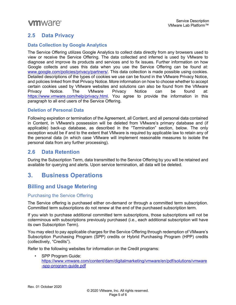#### **2.5 Data Privacy**

#### **Data Collection by Google Analytics**

The Service Offering utilizes Google Analytics to collect data directly from any browsers used to view or receive the Service Offering. The data collected and inferred is used by VMware to diagnose and improve its products and services and to fix issues. Further information on how Google collects and uses this data when you use the Service Offering can be found at: www.google.com/policies/privacy/partners/. This data collection is made possible using cookies. Detailed descriptions of the types of cookies we use can be found in the VMware Privacy Notice, and policies linked from that Privacy Notice. More information on how to choose whether to accept certain cookies used by VMware websites and solutions can also be found from the VMware Privacy Notice. The VMware Privacy Notice can be found at: https://www.vmware.com/help/privacy.html. You agree to provide the information in this paragraph to all end users of the Service Offering.

#### **Deletion of Personal Data**

Following expiration or termination of the Agreement, all Content, and all personal data contained in Content, in VMware's possession will be deleted from VMware's primary database and (if applicable) back-up database, as described in the "Termination" section, below. The only exception would be if and to the extent that VMware is required by applicable law to retain any of the personal data (in which case VMware will implement reasonable measures to isolate the personal data from any further processing).

#### **2.6 Data Retention**

During the Subscription Term, data transmitted to the Service Offering by you will be retained and available for querying and alerts. Upon service termination, all data will be deleted.

#### **3. Business Operations**

#### **Billing and Usage Metering**

#### Purchasing the Service Offering

The Service offering is purchased either on-demand or through a committed term subscription. Committed term subscriptions do not renew at the end of the purchased subscription term.

If you wish to purchase additional committed term subscriptions, those subscriptions will not be coterminous with subscriptions previously purchased (i.e., each additional subscription will have its own Subscription Term).

You may elect to pay applicable charges for the Service Offering through redemption of VMware's Subscription Purchasing Program (SPP) credits or Hybrid Purchasing Program (HPP) credits (collectively, "Credits").

Refer to the following websites for information on the Credit programs:

• SPP Program Guide: https://www.vmware.com/content/dam/digitalmarketing/vmware/en/pdf/solutions/vmware -spp-program-guide.pdf